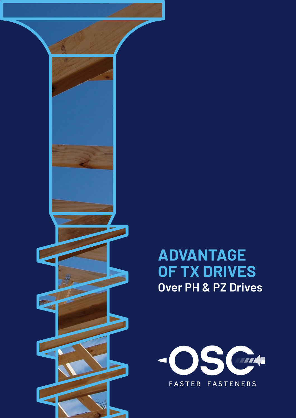

**ADVANTAGE OF TX DRIVES Over PH & PZ Drives**

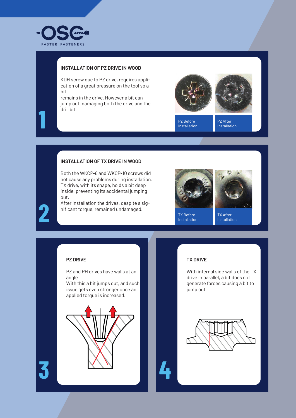

**1**

**2**

#### **INSTALLATION OF PZ DRIVE IN WOOD**

KDH screw due to PZ drive, requires application of a great pressure on the tool so a bit

remains in the drive. However a bit can jump out, damaging both the drive and the drill bit.





PZ Before Installation PZ After Installation

#### **INSTALLATION OF TX DRIVE IN WOOD**

Both the WKCP-6 and WKCP-10 screws did not cause any problems during installation. TX drive, with its shape, holds a bit deep inside, preventing its accidental jumping out.

After installation the drives, despite a significant torque, remained undamaged.





TX Before Installation

TX After Installation

### **PZ DRIVE**

PZ and PH drives have walls at an angle.

With this a bit jumps out, and such issue gets even stronger once an applied torque is increased.



#### **TX DRIVE**

With internal side walls of the TX drive in parallel, a bit does not generate forces causing a bit to jump out.

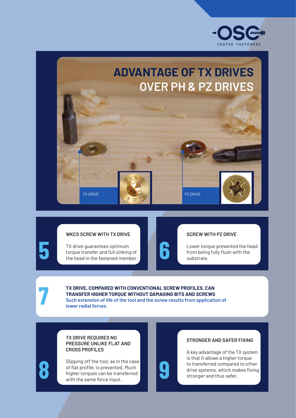

# **ADVANTAGE OF TX DRIVES OVER PH & PZ DRIVES**

TX DRIVE PZ DRIVE PZ DRIVE



#### **WKCS SCREW WITH TX DRIVE**

TX drive guarantees optimum torque transfer and full sinking of the head in the fastened member

**5**

**7**

**8**



Lower torque prevented the head from being fully flush with the substrate.

**TX DRIVE, COMPARED WITH CONVENTIONAL SCREW PROFILES, CAN TRANSFER HIGHER TORQUE WITHOUT DAMAGING BITS AND SCREWS Such extension of life of the tool and the screw results from application of lower radial forces.**

#### **TX DRIVE REQUIRES NO PRESSURE UNLIKE FLAT AND CROSS PROFILES**

Slipping off the tool, as in the case of flat profile, is prevented. Much higher torques can be transferred with the same force input.



**6**

#### **STRONGER AND SAFER FIXING**

A key advantage of the TX system is that it allows a higher torque to transferred compared to other drive systems, which makes fixing stronger and thus safer.